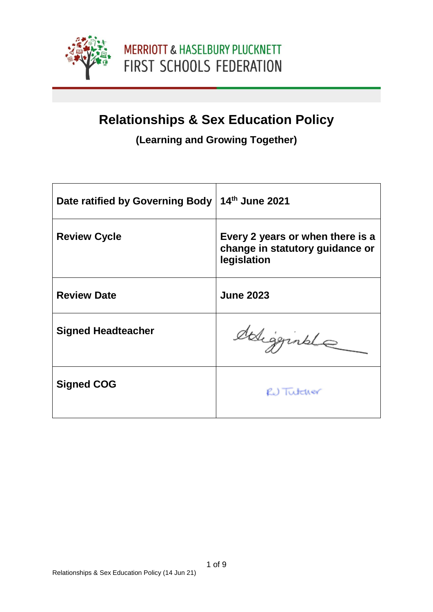

### **Relationships & Sex Education Policy**

### **(Learning and Growing Together)**

| Date ratified by Governing Body | 14th June 2021                                                                     |
|---------------------------------|------------------------------------------------------------------------------------|
| <b>Review Cycle</b>             | Every 2 years or when there is a<br>change in statutory guidance or<br>legislation |
| <b>Review Date</b>              | <b>June 2023</b>                                                                   |
| <b>Signed Headteacher</b>       | deligginale                                                                        |
| <b>Signed COG</b>               | RU Tutcher                                                                         |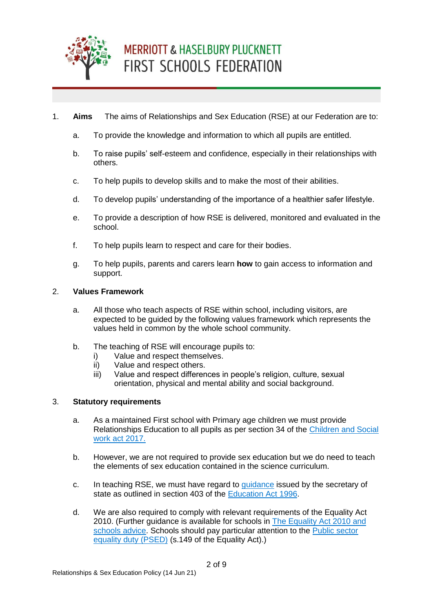

- 1. **Aims** The aims of Relationships and Sex Education (RSE) at our Federation are to:
	- a. To provide the knowledge and information to which all pupils are entitled.
	- b. To raise pupils' self-esteem and confidence, especially in their relationships with others.
	- c. To help pupils to develop skills and to make the most of their abilities.
	- d. To develop pupils' understanding of the importance of a healthier safer lifestyle.
	- e. To provide a description of how RSE is delivered, monitored and evaluated in the school.
	- f. To help pupils learn to respect and care for their bodies.
	- g. To help pupils, parents and carers learn **how** to gain access to information and support.

#### 2. **Values Framework**

- a. All those who teach aspects of RSE within school, including visitors, are expected to be guided by the following values framework which represents the values held in common by the whole school community.
- b. The teaching of RSE will encourage pupils to:
	- i) Value and respect themselves.
	- ii) Value and respect others.
	- iii) Value and respect differences in people's religion, culture, sexual orientation, physical and mental ability and social background.

#### 3. **Statutory requirements**

- a. As a maintained First school with Primary age children we must provide Relationships Education to all pupils as per section 34 of the [Children and Social](http://www.legislation.gov.uk/ukpga/2017/16/section/34/enacted)  [work act 2017.](http://www.legislation.gov.uk/ukpga/2017/16/section/34/enacted)
- b. However, we are not required to provide sex education but we do need to teach the elements of sex education contained in the science curriculum.
- c. In teaching RSE, we must have regard to [guidance](https://www.gov.uk/government/consultations/relationships-and-sex-education-and-health-education) issued by the secretary of state as outlined in section 403 of the [Education Act 1996.](http://www.legislation.gov.uk/ukpga/1996/56/contents)
- d. We are also required to comply with relevant requirements of the Equality Act 2010. (Further guidance is available for schools in [The Equality Act 2010 and](https://assets.publishing.service.gov.uk/government/uploads/system/uploads/attachment_data/file/315587/Equality_Act_Advice_Final.pdf)  [schools advice.](https://assets.publishing.service.gov.uk/government/uploads/system/uploads/attachment_data/file/315587/Equality_Act_Advice_Final.pdf) Schools should pay particular attention to the [Public sector](https://www.gov.uk/government/publications/public-sector-equality-duty)  [equality duty \(PSED\)](https://www.gov.uk/government/publications/public-sector-equality-duty) (s.149 of the Equality Act).)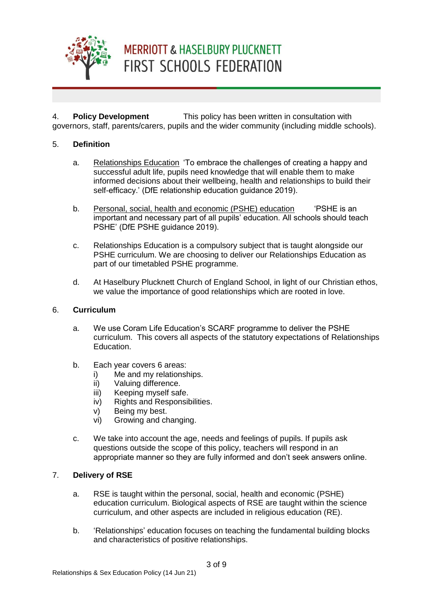

4. **Policy Development** This policy has been written in consultation with governors, staff, parents/carers, pupils and the wider community (including middle schools).

#### 5. **Definition**

- a. Relationships Education 'To embrace the challenges of creating a happy and successful adult life, pupils need knowledge that will enable them to make informed decisions about their wellbeing, health and relationships to build their self-efficacy.' (DfE relationship education guidance 2019).
- b. Personal, social, health and economic (PSHE) education 'PSHE is an important and necessary part of all pupils' education. All schools should teach PSHE' (DfE PSHE guidance 2019).
- c. Relationships Education is a compulsory subject that is taught alongside our PSHE curriculum. We are choosing to deliver our Relationships Education as part of our timetabled PSHE programme.
- d. At Haselbury Plucknett Church of England School, in light of our Christian ethos, we value the importance of good relationships which are rooted in love.

#### 6. **Curriculum**

- a. We use Coram Life Education's SCARF programme to deliver the PSHE curriculum. This covers all aspects of the statutory expectations of Relationships Education.
- b. Each year covers 6 areas:
	- i) Me and my relationships.
	- ii) Valuing difference.
	- iii) Keeping myself safe.
	- iv) Rights and Responsibilities.
	- v) Being my best.
	- vi) Growing and changing.
- c. We take into account the age, needs and feelings of pupils. If pupils ask questions outside the scope of this policy, teachers will respond in an appropriate manner so they are fully informed and don't seek answers online.

#### 7. **Delivery of RSE**

- a. RSE is taught within the personal, social, health and economic (PSHE) education curriculum. Biological aspects of RSE are taught within the science curriculum, and other aspects are included in religious education (RE).
- b. 'Relationships' education focuses on teaching the fundamental building blocks and characteristics of positive relationships.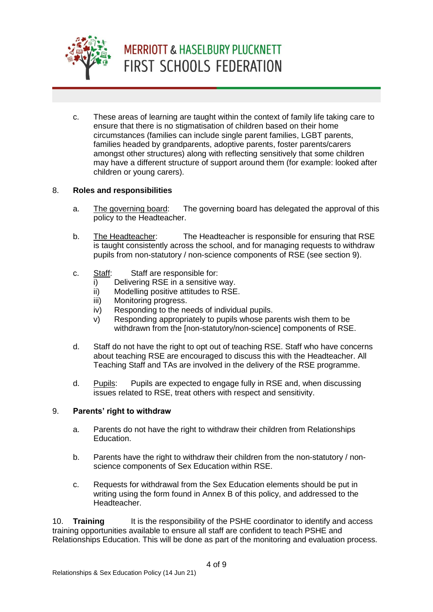

c. These areas of learning are taught within the context of family life taking care to ensure that there is no stigmatisation of children based on their home circumstances (families can include single parent families, LGBT parents, families headed by grandparents, adoptive parents, foster parents/carers amongst other structures) along with reflecting sensitively that some children may have a different structure of support around them (for example: looked after children or young carers).

#### 8. **Roles and responsibilities**

- a. The governing board: The governing board has delegated the approval of this policy to the Headteacher.
- b. The Headteacher: The Headteacher is responsible for ensuring that RSE is taught consistently across the school, and for managing requests to withdraw pupils from non-statutory / non-science components of RSE (see section 9).
- c. Staff: Staff are responsible for:
	- i) Delivering RSE in a sensitive way.
	- ii) Modelling positive attitudes to RSE.
	- iii) Monitoring progress.
	- iv) Responding to the needs of individual pupils.
	- v) Responding appropriately to pupils whose parents wish them to be withdrawn from the [non-statutory/non-science] components of RSE.
- d. Staff do not have the right to opt out of teaching RSE. Staff who have concerns about teaching RSE are encouraged to discuss this with the Headteacher. All Teaching Staff and TAs are involved in the delivery of the RSE programme.
- d. Pupils: Pupils are expected to engage fully in RSE and, when discussing issues related to RSE, treat others with respect and sensitivity.

#### 9. **Parents' right to withdraw**

- a. Parents do not have the right to withdraw their children from Relationships Education.
- b. Parents have the right to withdraw their children from the non-statutory / nonscience components of Sex Education within RSE.
- c. Requests for withdrawal from the Sex Education elements should be put in writing using the form found in Annex B of this policy, and addressed to the Headteacher.

10. **Training** It is the responsibility of the PSHE coordinator to identify and access training opportunities available to ensure all staff are confident to teach PSHE and Relationships Education. This will be done as part of the monitoring and evaluation process.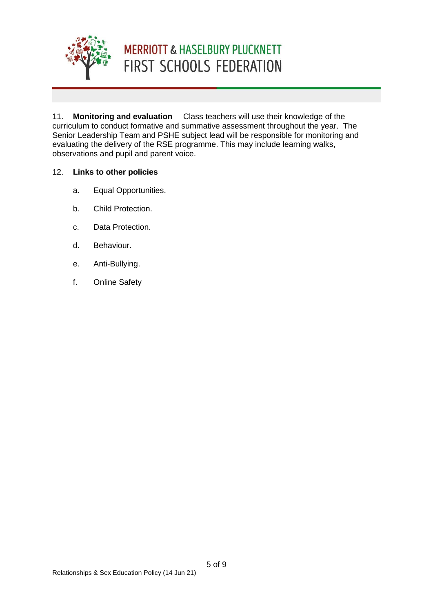

11. **Monitoring and evaluation** Class teachers will use their knowledge of the curriculum to conduct formative and summative assessment throughout the year. The Senior Leadership Team and PSHE subject lead will be responsible for monitoring and evaluating the delivery of the RSE programme. This may include learning walks, observations and pupil and parent voice.

#### 12. **Links to other policies**

- a. Equal Opportunities.
- b. Child Protection.
- c. Data Protection.
- d. Behaviour.
- e. Anti-Bullying.
- f. Online Safety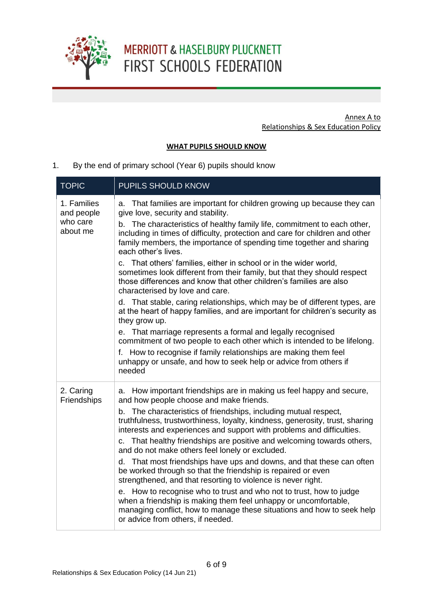

Annex A to Relationships & Sex Education Policy

#### **WHAT PUPILS SHOULD KNOW**

1. By the end of primary school (Year 6) pupils should know

| <b>TOPIC</b>                                      | PUPILS SHOULD KNOW                                                                                                                                                                                                                                                                                                                                                                                                                                                                                                                                                                                                                                                                                                                                                                                                                                                                                                                                                                                                                                                                                             |
|---------------------------------------------------|----------------------------------------------------------------------------------------------------------------------------------------------------------------------------------------------------------------------------------------------------------------------------------------------------------------------------------------------------------------------------------------------------------------------------------------------------------------------------------------------------------------------------------------------------------------------------------------------------------------------------------------------------------------------------------------------------------------------------------------------------------------------------------------------------------------------------------------------------------------------------------------------------------------------------------------------------------------------------------------------------------------------------------------------------------------------------------------------------------------|
| 1. Families<br>and people<br>who care<br>about me | a. That families are important for children growing up because they can<br>give love, security and stability.<br>b. The characteristics of healthy family life, commitment to each other,<br>including in times of difficulty, protection and care for children and other<br>family members, the importance of spending time together and sharing<br>each other's lives.<br>c. That others' families, either in school or in the wider world,<br>sometimes look different from their family, but that they should respect<br>those differences and know that other children's families are also<br>characterised by love and care.<br>d. That stable, caring relationships, which may be of different types, are<br>at the heart of happy families, and are important for children's security as<br>they grow up.<br>e. That marriage represents a formal and legally recognised<br>commitment of two people to each other which is intended to be lifelong.<br>f. How to recognise if family relationships are making them feel<br>unhappy or unsafe, and how to seek help or advice from others if<br>needed |
| 2. Caring<br>Friendships                          | a. How important friendships are in making us feel happy and secure,<br>and how people choose and make friends.<br>b. The characteristics of friendships, including mutual respect,<br>truthfulness, trustworthiness, loyalty, kindness, generosity, trust, sharing<br>interests and experiences and support with problems and difficulties.<br>c. That healthy friendships are positive and welcoming towards others,<br>and do not make others feel lonely or excluded.<br>d. That most friendships have ups and downs, and that these can often<br>be worked through so that the friendship is repaired or even<br>strengthened, and that resorting to violence is never right.<br>e. How to recognise who to trust and who not to trust, how to judge<br>when a friendship is making them feel unhappy or uncomfortable,<br>managing conflict, how to manage these situations and how to seek help<br>or advice from others, if needed.                                                                                                                                                                    |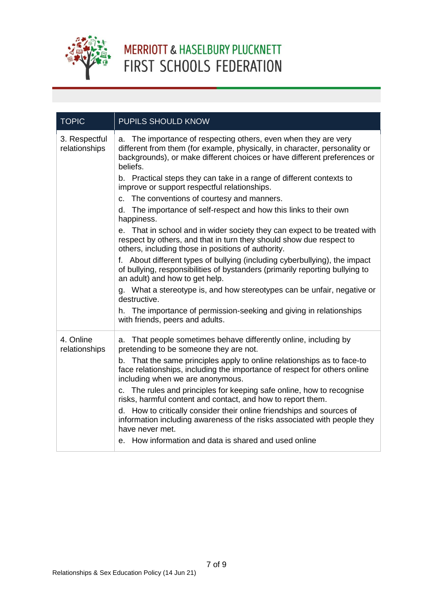

| <b>TOPIC</b>                   | PUPILS SHOULD KNOW                                                                                                                                                                                                                                                                                                                                                                                                                                                                                                                                                                                                                                                                                                                                                                                                                                                                                                                                                                                                                                                                                             |
|--------------------------------|----------------------------------------------------------------------------------------------------------------------------------------------------------------------------------------------------------------------------------------------------------------------------------------------------------------------------------------------------------------------------------------------------------------------------------------------------------------------------------------------------------------------------------------------------------------------------------------------------------------------------------------------------------------------------------------------------------------------------------------------------------------------------------------------------------------------------------------------------------------------------------------------------------------------------------------------------------------------------------------------------------------------------------------------------------------------------------------------------------------|
| 3. Respectful<br>relationships | a. The importance of respecting others, even when they are very<br>different from them (for example, physically, in character, personality or<br>backgrounds), or make different choices or have different preferences or<br>beliefs.<br>b. Practical steps they can take in a range of different contexts to<br>improve or support respectful relationships.<br>c. The conventions of courtesy and manners.<br>d. The importance of self-respect and how this links to their own<br>happiness.<br>e. That in school and in wider society they can expect to be treated with<br>respect by others, and that in turn they should show due respect to<br>others, including those in positions of authority.<br>f. About different types of bullying (including cyberbullying), the impact<br>of bullying, responsibilities of bystanders (primarily reporting bullying to<br>an adult) and how to get help.<br>g. What a stereotype is, and how stereotypes can be unfair, negative or<br>destructive.<br>h. The importance of permission-seeking and giving in relationships<br>with friends, peers and adults. |
| 4. Online<br>relationships     | a. That people sometimes behave differently online, including by<br>pretending to be someone they are not.<br>b. That the same principles apply to online relationships as to face-to<br>face relationships, including the importance of respect for others online<br>including when we are anonymous.<br>c. The rules and principles for keeping safe online, how to recognise<br>risks, harmful content and contact, and how to report them.<br>d. How to critically consider their online friendships and sources of<br>information including awareness of the risks associated with people they<br>have never met.<br>e. How information and data is shared and used online                                                                                                                                                                                                                                                                                                                                                                                                                                |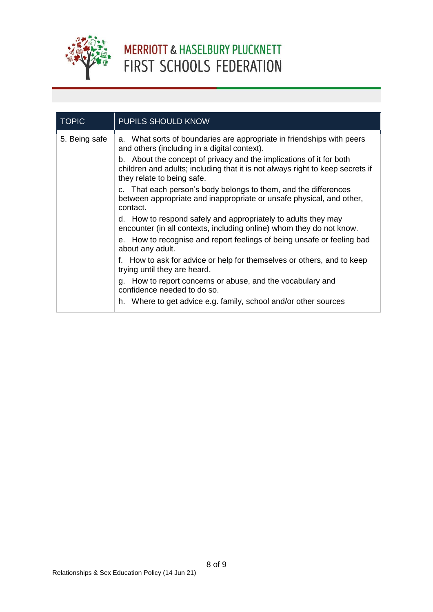

| <b>TOPIC</b>  | PUPILS SHOULD KNOW                                                                                                                                                                                                                                                                                          |  |  |
|---------------|-------------------------------------------------------------------------------------------------------------------------------------------------------------------------------------------------------------------------------------------------------------------------------------------------------------|--|--|
| 5. Being safe | a. What sorts of boundaries are appropriate in friendships with peers<br>and others (including in a digital context).<br>b. About the concept of privacy and the implications of it for both<br>children and adults; including that it is not always right to keep secrets if<br>they relate to being safe. |  |  |
|               | c. That each person's body belongs to them, and the differences<br>between appropriate and inappropriate or unsafe physical, and other,<br>contact.                                                                                                                                                         |  |  |
|               | d. How to respond safely and appropriately to adults they may<br>encounter (in all contexts, including online) whom they do not know.                                                                                                                                                                       |  |  |
|               | e. How to recognise and report feelings of being unsafe or feeling bad<br>about any adult.                                                                                                                                                                                                                  |  |  |
|               | f. How to ask for advice or help for themselves or others, and to keep<br>trying until they are heard.                                                                                                                                                                                                      |  |  |
|               | g. How to report concerns or abuse, and the vocabulary and<br>confidence needed to do so.                                                                                                                                                                                                                   |  |  |
|               | h. Where to get advice e.g. family, school and/or other sources                                                                                                                                                                                                                                             |  |  |